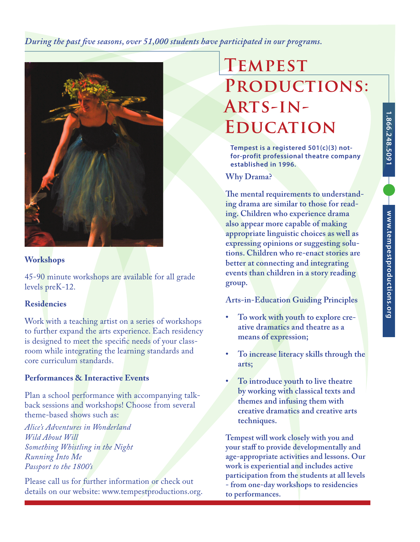*During the past five seasons, over 51,000 students have participated in our programs.*



## **Workshops**

45-90 minute workshops are available for all grade levels preK-12.

### **Residencies**

Work with a teaching artist on a series of workshops to further expand the arts experience. Each residency is designed to meet the specific needs of your classroom while integrating the learning standards and core curriculum standards.

### **Performances & Interactive Events**

Plan a school performance with accompanying talkback sessions and workshops! Choose from several theme-based shows such as:

*Alice's Adventures in Wonderland Wild About Will Something Whistling in the Night Running Into Me Passport to the 1800's*

Please call us for further information or check out details on our website: www.tempestproductions.org.

# **Tempest Productions: Arts-in-Education**

**Tempest is a registered 501(c)(3) notfor-profit professional theatre company established in 1996.**

**Why Drama?**

**The mental requirements to understanding drama are similar to those for reading. Children who experience drama also appear more capable of making appropriate linguistic choices as well as expressing opinions or suggesting solutions. Children who re-enact stories are better at connecting and integrating events than children in a story reading group.**

**Arts-in-Education Guiding Principles**

- To work with youth to explore cre**ative dramatics and theatre as a means of expression;**
- **• To increase literacy skills through the arts;**
- **• To introduce youth to live theatre by working with classical texts and themes and infusing them with creative dramatics and creative arts techniques.**

**Tempest will work closely with you and your staff to provide developmentally and age-appropriate activities and lessons. Our work is experiential and includes active participation from the students at all levels - from one-day workshops to residencies to performances.**